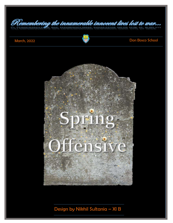Remembering the innumerable innocent lives lost to war



#### March, 2022 **Don Bosco School**



Design by Nikhil Sultania – XI B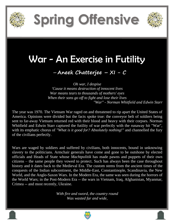



### War - An Exercise in Futility

### – **Aneek Chatterjee – XI - C**

*Oh war, I despise 'Cause it means destruction of innocent lives War means tears to thousands of mothers' eyes When their sons go off to fight and lose their lives "War" - Norman Whitfield and Edwin Starr*

The year was 1970. The Vietnam War raged on and threatened to rip apart the United States of America. Opinions were divided but the facts spoke true: the conveyor belt of soldiers being sent to far-away Vietnam returned red with their blood and heavy with their corpses. Norman Whitfield and Edwin Starr captured the futility of war perfectly with the runaway hit "War", with its emphatic chorus of *"What is it good for? Absolutely nothing!"* and channelled the fury of the civilians perfectly.

Wars are waged by soldiers and suffered by civilians, both innocents, bound in unknowing slavery to the politicians. Armchair generals have come and gone to be outshone by elected officials and Heads of State whose *Machtpolitik* has made pawns and puppets of their own citizens – the same people they vowed to protect. Such has always been the case throughout history and it dates back to the Medieval Era. The custom stems from the ancient times of the conquests of the Indian subcontinent, the Middle-East, Constantinople, Scandinavia, the New World, and the Anglo-Saxon Wars. In the Modern Era, the same was seen during the horrors of the World Wars; in the Post-Modern Era -- the wars in Vietnam, Iraq, Afghanistan, Myanmar, Crimea -- and most recently, Ukraine.

> *With fire and sword, the country round Was wasted far and wide,*

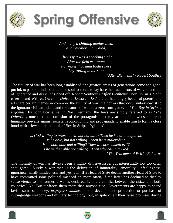



*And many a childing mother then, And new-born baby died;*

*.*

*They say it was a shocking sight After the field was won; For many thousand bodies here Lay rotting in the sun;*

*"After Blenheim" - Robert Southey*

The futility of war has been long established; the greatest artists of generations come and gone, put ink to paper, mind to matter and soul to voice, to lay bare the true horrors of war, a band-aid of ignorance and disbelief ripped off. Robert Southey's *"After Blenheim"*, Bob Dylan's *"John Brown"* and Wilfred Owen's *"Dulce et Decorum Est"* are all hauntingly beautiful poems, and all share certain themes in common: the futility of war, the horrors that occur unbeknownst to the ignorant civilian public and the nature of war as a zero-sum-game. In *"The Boy in Striped Pyjamas"* by John Boyne, set in Nazi Germany, the Jews are simply referred to as *"The Other(s)*", much to the confusion of the protagonist, a ten-year-old child whose inherent humanity prevails against societal reconditioning and propaganda to enable him to form a close bond with a Jew child, the titular "Boy in Striped Pyjamas".

> *Is God willing to prevent evil, but not able? Then he is not omnipotent. Is he able, but not willing? Then he is malevolent. Is he both able and willing? Then whence cometh evil? Is he neither able nor willing? Then why call him God? "The Trilemma of Evil" - Epicurus*

The morality of war has always been a highly divisive issue, but interestingly not too often spotlighted. Surely a war then is the definition of immorality, amorality, unfeelingness, ignorance, small-mindedness, and yes, evil. If a Head of State deems another Head of State to have committed some political misdeed or, more often, if the latter has declined to display subservience to the former, a war is declared. Is this a conflict between the citizens of both countries? No! But it affects them more than anyone else. Governments are happy to spend lavish sums of money, *taxpayer's money*, on the development, production or purchase of cutting-edge weapons and military technology, but, in spite of all their false promises during



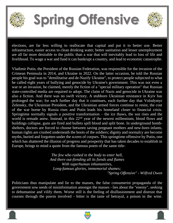



elections, are far less willing to reallocate that capital and put it to better use. Better infrastructure, easier access to clean drinking water, better sanitation and lesser unemployment are all far more desirable to the public than a war that will inevitably lead to loss of life and livelihood. To wage a war and fund it can bankrupt a country, and lead to economic catastrophe.

Vladimir Putin, the President of the Russian Federation, was responsible for the invasion of the Crimean Peninsula in 2014, and Ukraine in 2022. On the latter occasion, he told the Russian people his goal was to "demilitarise and de-Nazify Ukraine", to protect people subjected to what he called eight years of bullying and genocide by Ukraine's government. This was not even a war or an invasion, he claimed, merely the fiction of a "special military operation" that Russian state-controlled media are required to adopt. The claim of Nazis and genocide in Ukraine was also a fiction. And there was no swift victory. A stubborn Ukrainian resistance in Kyiv has prolonged the war; for each further day that it continues, each further day that Volodymyr Zelensky, the Ukrainian President, and the Ukrainian armed forces continue to resist, the cost of the war borne by Russia rises and Putin leads his homeland closer to financial crisis. Springtime normally signals a positive transformation – the ice thaws, the sun rises and the world is remade anew. Instead, in this 22<sup>nd</sup> year of the newest millennium, blood flows and buildings collapse, guns are fired and bullets spill blood and split bone. In underground bombshelters, doctors are forced to choose between saving pregnant mothers and new-born infants, human rights are crushed underneath the boots of the soldiers; dignity and normalcy are become myths, buried and forgotten under the scores of corpses. This springtime offensive by Putin, one which has shattered the illusion of progress and prosperity that has taken decades to establish in Europe, brings to mind a quote from the famous poem of the same title-

> *The few who rushed in the body to enter hell, And there out-fiending all its fiends and flames With superhuman inhumanities, Long-famous glories, immemorial shames; "Spring Offensive" - Wilfred Owen*

Politicians thus manipulate and lie to the masses, the false consumerist propaganda of the government sow seeds of misinformation amongst the masses - lies about the "enemy", seeking to dehumanise and vilify them. Worse still is the feeling of disillusionment and distrust that courses through the pawns involved - bitter is the taste of betrayal, a poison in the wine.

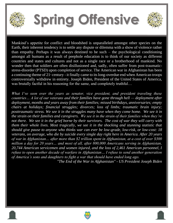



Mankind's appetite for conflict and bloodshed is unparalleled amongst other species on the Earth, their inherent tendency is to settle any dispute or dilemma with a show of violence rather than empathy. Perhaps it was always destined to be such  $-$  the psychological conditioning amongst all humans as a result of peephole education is to think of our society as different countries and states and cultures and not as a single race or a brotherhood of mankind. No wonder then that soldiers are often disillusioned and, sadly, often suffer from post-traumaticstress-disorder (PTSD) upon completion of service. The American war in Afghanistan has been a continuing theme of  $21<sup>*</sup>$  century - it finally came to its long-overdue end when American troops controversially withdrew in entirety. Joseph Biden, President of the United States of America, was brutally factful in his reasoning for the same, and completely truthful…

*What I've seen over the years as senator, vice president, and president traveling these countries... A lot of our veterans and their families have gone through hell — <i>deployment after deployment, months and years away from their families; missed birthdays, anniversaries; empty chairs at holidays; financial struggles; divorces; loss of limbs; traumatic brain injury; posttraumatic stress. We see it in the struggles many have when they come home. We see it in the strain on their families and caregivers. We see it in the strain of their families when they're not there. We see it in the grief borne by their survivors. The cost of war they will carry with them their whole lives. Most tragically, we see it in the shocking and stunning statistic that should give pause to anyone who thinks war can ever be low-grade, low-risk, or low-cost: 18 veterans, on average, who die by suicide every single day right here in America. After 20 years of war in Afghanistan… after more than \$2 trillion spent in Afghanistan, at a cost of over \$300 million a day for 20 years… and most of all, after 800,000 Americans serving in Afghanistan, 20,744 American servicemen and women injured, and the loss of 2,461 American personnel, I refuse to open another decade of warfare in Afghanistan… I refuse to send another generation of America's sons and daughters to fight a war that should have ended long ago.*

*"The End of the War in Afghanistan" - US President Joseph Biden*

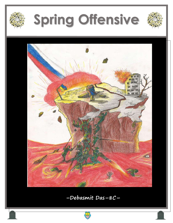





 **–Debasmit Das–8C–**

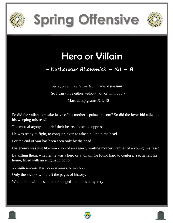



### Hero or Villain

#### – **Kushankur Bhowmick – XII – B**

*"Sic ego nec sine te nec tecum vivere possum*." (So I can't live either without you or with you.) –Martial, Epigrams XII, 46

So did the valiant son take leave of his mother's pained bosom? So did the lover bid adieu to his weeping mistress?

The mutual agony and grief their hearts chose to suppress.

He was ready to fight, to conquer, even to take a bullet in the head

For the end of war has been seen only by the dead.

His enemy was just like him - son of an eagerly waiting mother, Partner of a young mistress!

By killing them, whether he was a hero or a villain, he found hard to confess. Yet he left his home, filled with an enigmatic doubt

To fight another war, both within and without.

Only the victors will draft the pages of history,

Whether he will be saluted or hanged - remains a mystery.



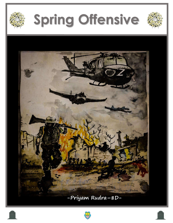





**-Priyam Rudra–8D-**



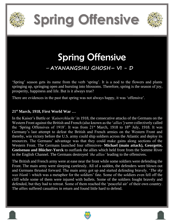



### Spring Offensive – **AYANANGSHU GHOSH– VI - D**

'Spring' season gets its name from the verb 'spring'. It is a nod to the flowers and plants springing up, springing open and bursting into blossoms. Therefore, spring is the season of joy, prosperity, happiness and life. But is it always true?

There are evidences in the past that spring was not always happy, it was 'offensive'.

#### **21st March, 1918, First World War …**

In the Kaiser's Battle or *'Kaiserchlacht'* in 1918, the consecutive attacks of the Germans on the Western Front against the British and French (also known as the '*allies'*) were collectively called the 'Spring Offensives of 1918'. It was from 21<sup>st</sup> March, 1918 to 18<sup>th</sup> July, 1918. It was Germany's last attempt to defeat the British and French armies on the Western Front and thereby, win victory before the U.S. army could ship soldiers across the Atlantic and deploy its resources. The Germans' advantage was that they could make gains along sections of the Western Front. The Germans launched four offensives- **Michael (main attack), Georgette, Gneisenau and Blücher-Yorck** to outflank the allies which held front from the Somme River to the English Channel. The Germans destroyed *'the allies'* leading to the offensives.

The British and French army were at ease near the front while some soldiers were defending the Front. The main army were sleeping carelessly. All of a sudden, the defenders were blown out and Germans thrusted forward. The main army got up and started defending bravely. '*The sky was blank'*- which was a metaphor for the soldiers' fate. Some of the soldiers even fell off the cliff while some of them were injured with bullets. Some of the soldiers fought bravely and defended, but they had to retreat. Some of them reached the 'peaceful air' of their own country. The *allies* suffered casualties in return and found little hard to defend.



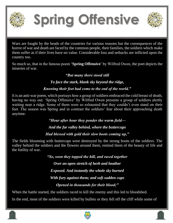



Wars are fought by the heads of the countries for various reasons but the consequences of the horror of war and death are faced by the common people, their families, the soldiers which make them suffer as if their lives have no value. Considerable loss and setbacks are inflicted upon the country too.

So much so, that in the famous poem '**Spring Offensive**' by Wilfred Owen, the poet depicts the miseries of war.

#### *"But many there stood still To face the stark, blank sky beyond the ridge, Knowing their feet had come to the end of the world."*

It is an anti-war poem, which portrays how a group of soldiers embraced the cold breast of death, having no way out. 'Spring Offensive' by Wilfred Owen presents a group of soldiers alertly waiting near a ridge. Some of them were so exhausted that they couldn't even stand on their feet. The season was Spring and in contrast the soldiers' fear about their approaching death anytime.

#### *"Hour after hour they ponder the warm field— And the far valley behind, where the buttercups Had blessed with gold their slow boots coming up,"*

The fields blooming with buttercups were destroyed by the strong boots of the soldiers. The valley behind the soldiers and the flowers around them, remind them of the beauty of life and the futility of war.

> *"So, soon they topped the hill, and raced together Over an open stretch of herb and heather Exposed. And instantly the whole sky burned With fury against them; and soft sudden cups Opened in thousands for their blood;"*

When the battle started, the soldiers raced to kill the enemy and this led to bloodshed.

In the end, most of the soldiers were killed by bullets or they fell off the cliff while some of